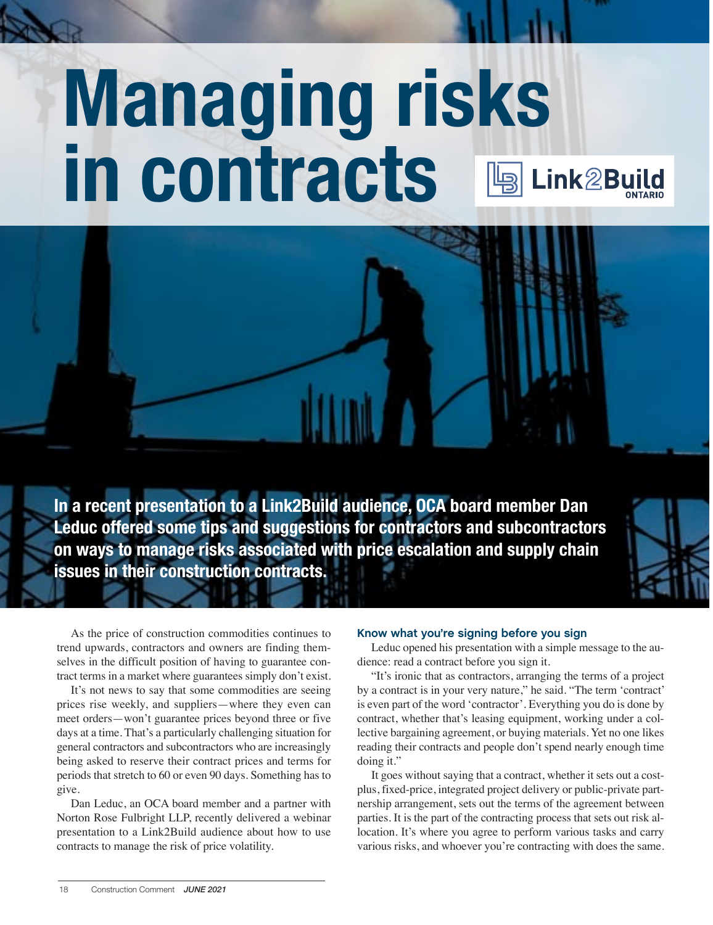# **Managing risks in contracts** Link2Build

**In a recent presentation to a Link2Build audience, OCA board member Dan Leduc offered some tips and suggestions for contractors and subcontractors on ways to manage risks associated with price escalation and supply chain issues in their construction contracts.**



Link2Build-Ad\_8.5x11\_D3.indd 1 2019-12-03 8:10 PM

As the price of construction commodities continues to trend upwards, contractors and owners are finding themselves in the difficult position of having to guarantee contract terms in a market where guarantees simply don't exist.

It's not news to say that some commodities are seeing prices rise weekly, and suppliers—where they even can meet orders—won't guarantee prices beyond three or five days at a time. That's a particularly challenging situation for general contractors and subcontractors who are increasingly being asked to reserve their contract prices and terms for periods that stretch to 60 or even 90 days. Something has to give.

Dan Leduc, an OCA board member and a partner with Norton Rose Fulbright LLP, recently delivered a webinar presentation to a Link2Build audience about how to use contracts to manage the risk of price volatility.

## **Know what you're signing before you sign**

Leduc opened his presentation with a simple message to the audience: read a contract before you sign it.

"It's ironic that as contractors, arranging the terms of a project by a contract is in your very nature," he said. "The term 'contract' is even part of the word 'contractor'. Everything you do is done by contract, whether that's leasing equipment, working under a collective bargaining agreement, or buying materials. Yet no one likes reading their contracts and people don't spend nearly enough time doing it."

It goes without saying that a contract, whether it sets out a costplus, fixed-price, integrated project delivery or public-private partnership arrangement, sets out the terms of the agreement between parties. It is the part of the contracting process that sets out risk allocation. It's where you agree to perform various tasks and carry various risks, and whoever you're contracting with does the same.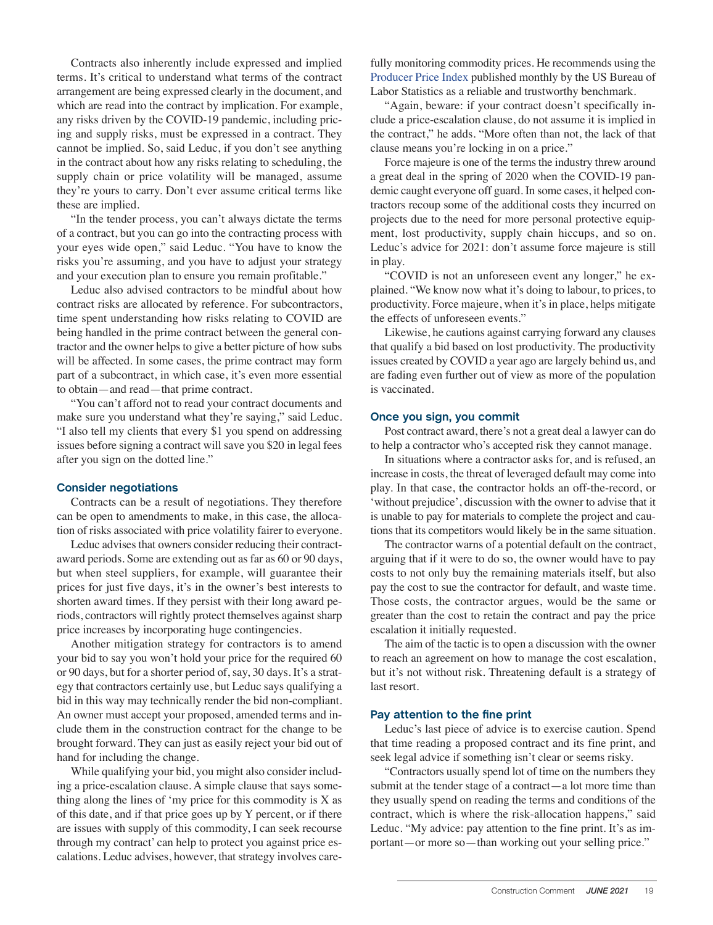Contracts also inherently include expressed and implied terms. It's critical to understand what terms of the contract arrangement are being expressed clearly in the document, and which are read into the contract by implication. For example, any risks driven by the COVID-19 pandemic, including pricing and supply risks, must be expressed in a contract. They cannot be implied. So, said Leduc, if you don't see anything in the contract about how any risks relating to scheduling, the supply chain or price volatility will be managed, assume they're yours to carry. Don't ever assume critical terms like these are implied.

"In the tender process, you can't always dictate the terms of a contract, but you can go into the contracting process with your eyes wide open," said Leduc. "You have to know the risks you're assuming, and you have to adjust your strategy and your execution plan to ensure you remain profitable."

Leduc also advised contractors to be mindful about how contract risks are allocated by reference. For subcontractors, time spent understanding how risks relating to COVID are being handled in the prime contract between the general contractor and the owner helps to give a better picture of how subs will be affected. In some cases, the prime contract may form part of a subcontract, in which case, it's even more essential to obtain—and read—that prime contract.

"You can't afford not to read your contract documents and make sure you understand what they're saying," said Leduc. "I also tell my clients that every \$1 you spend on addressing issues before signing a contract will save you \$20 in legal fees after you sign on the dotted line."

## **Consider negotiations**

Contracts can be a result of negotiations. They therefore can be open to amendments to make, in this case, the allocation of risks associated with price volatility fairer to everyone.

Leduc advises that owners consider reducing their contractaward periods. Some are extending out as far as 60 or 90 days, but when steel suppliers, for example, will guarantee their prices for just five days, it's in the owner's best interests to shorten award times. If they persist with their long award periods, contractors will rightly protect themselves against sharp price increases by incorporating huge contingencies.

Another mitigation strategy for contractors is to amend your bid to say you won't hold your price for the required 60 or 90 days, but for a shorter period of, say, 30 days. It's a strategy that contractors certainly use, but Leduc says qualifying a bid in this way may technically render the bid non-compliant. An owner must accept your proposed, amended terms and include them in the construction contract for the change to be brought forward. They can just as easily reject your bid out of hand for including the change.

While qualifying your bid, you might also consider including a price-escalation clause. A simple clause that says something along the lines of 'my price for this commodity is X as of this date, and if that price goes up by Y percent, or if there are issues with supply of this commodity, I can seek recourse through my contract' can help to protect you against price escalations. Leduc advises, however, that strategy involves carefully monitoring commodity prices. He recommends using the Producer Price Index published monthly by the US Bureau of Labor Statistics as a reliable and trustworthy benchmark.

"Again, beware: if your contract doesn't specifically include a price-escalation clause, do not assume it is implied in the contract," he adds. "More often than not, the lack of that clause means you're locking in on a price."

Force majeure is one of the terms the industry threw around a great deal in the spring of 2020 when the COVID-19 pandemic caught everyone off guard. In some cases, it helped contractors recoup some of the additional costs they incurred on projects due to the need for more personal protective equipment, lost productivity, supply chain hiccups, and so on. Leduc's advice for 2021: don't assume force majeure is still in play.

"COVID is not an unforeseen event any longer," he explained. "We know now what it's doing to labour, to prices, to productivity. Force majeure, when it's in place, helps mitigate the effects of unforeseen events."

Likewise, he cautions against carrying forward any clauses that qualify a bid based on lost productivity. The productivity issues created by COVID a year ago are largely behind us, and are fading even further out of view as more of the population is vaccinated.

#### **Once you sign, you commit**

Post contract award, there's not a great deal a lawyer can do to help a contractor who's accepted risk they cannot manage.

In situations where a contractor asks for, and is refused, an increase in costs, the threat of leveraged default may come into play. In that case, the contractor holds an off-the-record, or 'without prejudice', discussion with the owner to advise that it is unable to pay for materials to complete the project and cautions that its competitors would likely be in the same situation.

The contractor warns of a potential default on the contract, arguing that if it were to do so, the owner would have to pay costs to not only buy the remaining materials itself, but also pay the cost to sue the contractor for default, and waste time. Those costs, the contractor argues, would be the same or greater than the cost to retain the contract and pay the price escalation it initially requested.

The aim of the tactic is to open a discussion with the owner to reach an agreement on how to manage the cost escalation, but it's not without risk. Threatening default is a strategy of last resort.

### **Pay attention to the fine print**

Leduc's last piece of advice is to exercise caution. Spend that time reading a proposed contract and its fine print, and seek legal advice if something isn't clear or seems risky.

"Contractors usually spend lot of time on the numbers they submit at the tender stage of a contract—a lot more time than they usually spend on reading the terms and conditions of the contract, which is where the risk-allocation happens," said Leduc. "My advice: pay attention to the fine print. It's as important—or more so—than working out your selling price."